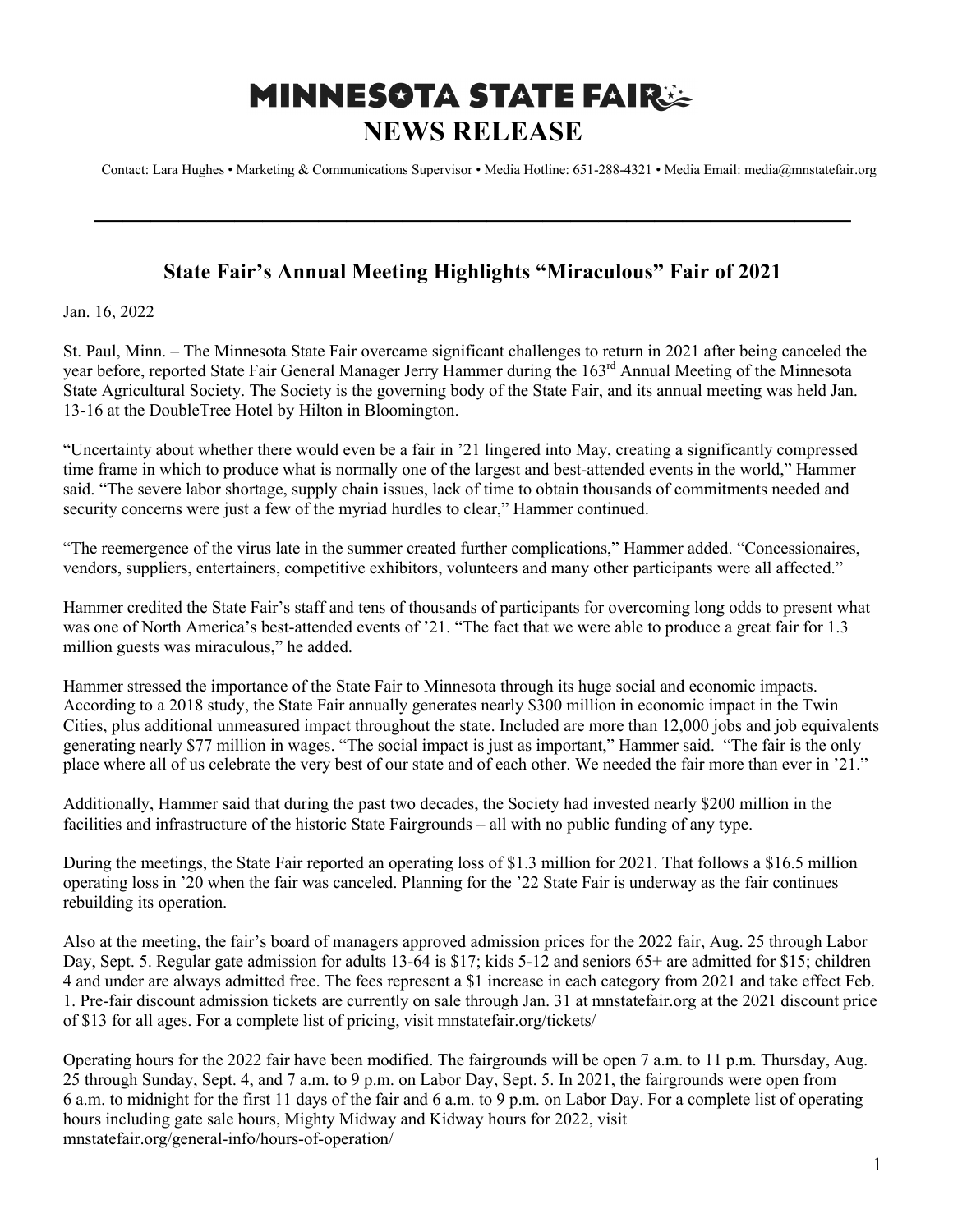## **MINNESOTA STATE FAIR: NEWS RELEASE**

Contact: Lara Hughes • Marketing & Communications Supervisor • Media Hotline: 651-288-4321 • Media Email: media@mnstatefair.org

## **State Fair's Annual Meeting Highlights "Miraculous" Fair of 2021**

**———————————————————————————**

Jan. 16, 2022

St. Paul, Minn. – The Minnesota State Fair overcame significant challenges to return in 2021 after being canceled the year before, reported State Fair General Manager Jerry Hammer during the 163<sup>rd</sup> Annual Meeting of the Minnesota State Agricultural Society. The Society is the governing body of the State Fair, and its annual meeting was held Jan. 13-16 at the DoubleTree Hotel by Hilton in Bloomington.

"Uncertainty about whether there would even be a fair in '21 lingered into May, creating a significantly compressed time frame in which to produce what is normally one of the largest and best-attended events in the world," Hammer said. "The severe labor shortage, supply chain issues, lack of time to obtain thousands of commitments needed and security concerns were just a few of the myriad hurdles to clear," Hammer continued.

"The reemergence of the virus late in the summer created further complications," Hammer added. "Concessionaires, vendors, suppliers, entertainers, competitive exhibitors, volunteers and many other participants were all affected."

Hammer credited the State Fair's staff and tens of thousands of participants for overcoming long odds to present what was one of North America's best-attended events of '21. "The fact that we were able to produce a great fair for 1.3 million guests was miraculous," he added.

Hammer stressed the importance of the State Fair to Minnesota through its huge social and economic impacts. According to a 2018 study, the State Fair annually generates nearly \$300 million in economic impact in the Twin Cities, plus additional unmeasured impact throughout the state. Included are more than 12,000 jobs and job equivalents generating nearly \$77 million in wages. "The social impact is just as important," Hammer said. "The fair is the only place where all of us celebrate the very best of our state and of each other. We needed the fair more than ever in '21."

Additionally, Hammer said that during the past two decades, the Society had invested nearly \$200 million in the facilities and infrastructure of the historic State Fairgrounds – all with no public funding of any type.

During the meetings, the State Fair reported an operating loss of \$1.3 million for 2021. That follows a \$16.5 million operating loss in '20 when the fair was canceled. Planning for the '22 State Fair is underway as the fair continues rebuilding its operation.

Also at the meeting, the fair's board of managers approved admission prices for the 2022 fair, Aug. 25 through Labor Day, Sept. 5. Regular gate admission for adults 13-64 is \$17; kids 5-12 and seniors 65+ are admitted for \$15; children 4 and under are always admitted free. The fees represent a \$1 increase in each category from 2021 and take effect Feb. 1. Pre-fair discount admission tickets are currently on sale through Jan. 31 at mnstatefair.org at the 2021 discount price of \$13 for all ages. For a complete list of pricing, visit mnstatefair.org/tickets/

Operating hours for the 2022 fair have been modified. The fairgrounds will be open 7 a.m. to 11 p.m. Thursday, Aug. 25 through Sunday, Sept. 4, and 7 a.m. to 9 p.m. on Labor Day, Sept. 5. In 2021, the fairgrounds were open from 6 a.m. to midnight for the first 11 days of the fair and 6 a.m. to 9 p.m. on Labor Day. For a complete list of operating hours including gate sale hours, Mighty Midway and Kidway hours for 2022, visit mnstatefair.org/general-info/hours-of-operation/